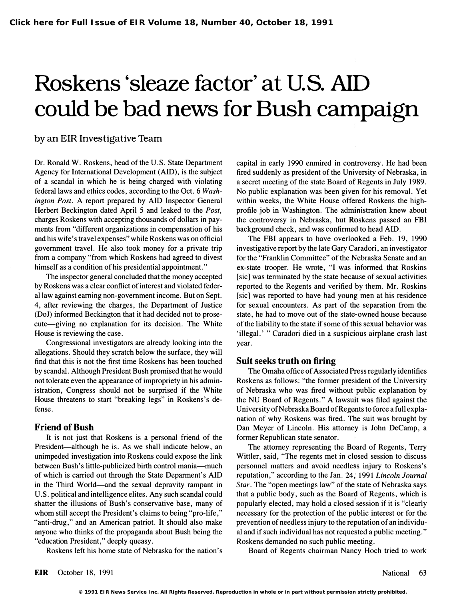# Roskens 'sleaze factor' at U.S. AID could be bad news for Bush campaign

# by an EIR Investigative Team

Dr. Ronald W. Roskens, head of the U.S. State Department Agency for International Development (AID), is the subject of a scandal in which he is being charged with violating federal laws and ethics codes, according to the Oct. 6 Washington Post. A report prepared by AID Inspector General Herbert Beckington dated April 5 and leaked to the Post, charges Roskens with accepting thousands of dollars in payments from "different organizations in compensation of his and his wife's travel expenses" while Roskens was on official government travel. He also took money for a private trip from a company "from which Roskens had agreed to divest himself as a condition of his presidential appointment."

The inspector general concluded that the money accepted by Roskens was a clear conflict of interest and violated federal law against eaming non-government income. But on Sept. 4, after reviewing the charges, the Department of Justice (DoJ) informed Beckington that it had decided not to prosecute-giving no explanation for its decision. The White House is reviewing the case.

Congressional investigators are already looking into the allegations. Should they scratch below the surface, they will find that this is not the first time Roskens has been touched by scandal. Although President Bush promised that he would not tolerate even the appearance of impropriety in his administration, Congress should not be surprised if the White House threatens to start "breaking legs" in Roskens's defense.

#### Friend of Bush

It is not just that Roskens is a personal friend of the President-although he is. As we shall indicate below, an unimpeded investigation into Roskens could expose the link between Bush's little-publicized birth control mania-much of which is carried out through the State Deparment's AID in the Third World—and the sexual depravity rampant in U.S. political and intelligence elites. Any such scandal could shatter the illusions of Bush's conservative base, many of whom still accept the President's claims to being "pro-life," "anti-drug," and an American patriot. It should also make anyone who thinks of the propaganda about Bush being the "education President," deeply queasy.

Roskens left his home state of Nebraska for the nation's

capital in early 1990 enmired in controversy. He had been fired suddenly as president of the University of Nebraska, in a secret meeting of the state Board of Regents in July 1989. No public explanation was been given for his removal. Yet within weeks, the White House offered Roskens the highprofile job in Washington. The administration knew about the controversy in Nebraska, but Rbskens passed an FBI background check, and was confirmed to head AID.

The FBI appears to have overlooked a Feb. 19, 1990 investigative report by the late Gary Caradori, an investigator for the "Franklin Committee" of the Nebraska Senate and an ex-state trooper. He wrote, "I was informed that Roskins [sic] was terminated by the state because of sexual activities reported to the Regents and verified by them. Mr. Roskins [sic] was reported to have had young men at his residence for sexual encounters. As part of the separation from the state, he had to move out of the state-owned house because of the liability to the state if some of this sexual behavior was 'illegal.' " Caradori died in a suspicious airplane crash last year.

#### Suit seeks truth on firing

The Omaha office of Associated Ptess regularly identifies Roskens as follows: "the former president of the University of Nebraska who was fired without public explanation by the NU Board of Regents." A lawsuit was filed against the University of Nebraska Board of Regents to force a full explanation of why Roskens was fired. The suit was brought by Dan Meyer of Lincoln. His attorney is John DeCamp, a former Republican state senator.

The attorney representing the Board of Regents, Terry Wittler, said, "The regents met in closed session to discuss personnel matters and avoid needless injury to Roskens's reputation," according to the Jan. 24, 1991 Lincoln Journal Star. The "open meetings law" of the state of Nebraska says that a public body, such as the Board of Regents, which is popularly elected, may hold a closed session if it is "clearly necessary for the protection of the p�blic interest or for the prevention of needless injury to the reputation of an individual and if such individual has not requested a public meeting." Roskens demanded no such public m�eting.

Board of Regents chairman Nancy Hoch tried to work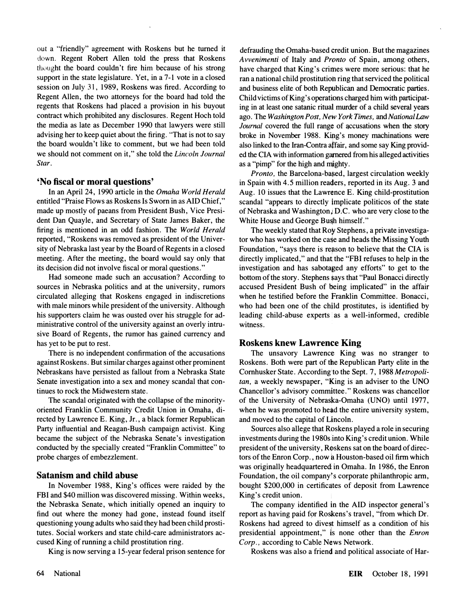out a "friendly" agreement with Roskens but he turned it down. Regent Robert Allen told the press that Roskens thought the board couldn't fire him because of his strong support in the state legislature. Yet, in a 7-1 vote in a closed session on July 31, 1989, Roskens was fired. According to Regent Allen, the two attorneys for the board had told the regents that Roskens had placed a provision in his buyout contract which prohibited any disclosures. Regent Hoch told the media as late as December 1990 that lawyers were still advising her to keep quiet about the firing. "That is not to say the board wouldn't like to comment, but we had been told we should not comment on it," she told the Lincoln Journal Star.

### 'No fiscal or moral questions'

In an April 24, 1990 article in the Omaha World Herald entitled "Praise Flows as Roskens Is Sworn in as AID Chief," made up mostly of paeans from President Bush, Vice President Dan Quayle, and Secretary of State James Baker, the firing is mentioned in an odd fashion. The World Herald reported, "Roskens was removed as president of the University of Nebraska last year by the Board of Regents in a closed meeting. After the meeting, the board would say only that its decision did not involve fiscal or moral questions."

Had someone made such an accusation? According to sources in Nebraska politics and at the university, rumors circulated alleging that Roskens engaged in indiscretions with male minors while president of the university. Although his supporters claim he was ousted over his struggle for administrative control of the university against an overly intrusive Board of Regents, the rumor has gained currency and has yet to be put to rest.

There is no independent confirmation of the accusations against Roskens. But similar charges against other prominent Nebraskans have persisted as fallout from a Nebraska State Senate investigation into a sex and money scandal that continues to rock the Midwestern state.

The scandal originated with the collapse of the minorityoriented Franklin Community Credit Union in Omaha, directed by Lawrence E. King, Jr., a black former Republican Party influential and Reagan-Bush campaign activist. King became the subject of the Nebraska Senate's investigation conducted by the specially created "Franklin Committee" to probe charges of embezzlement.

# Satanism and child abuse

In November 1988, King's offices were raided by the FBI and \$40 million was discovered missing. Within weeks, the Nebraska Senate, which initially opened an inquiry to find out where the money had gone, instead found itself questioning young adults who said they had been child prostitutes. Social workers and state child-care administrators accused King of running a child prostitution ring.

King is now serving a 15-year federal prison sentence for

defrauding the Omaha-based credit union. But the magazines Avvenimenti of Italy and Pronto of Spain, among others, have charged that King's crimes were more serious: that he ran a national child prostitution ring that serviced the political and business elite of both Republican and Democratic parties. Child victims of King's operations charged him with participating in at least one satanic ritual murder of a child several years ago. The Washington Post, New York Times, and National Law Journal covered the full range of accusations when the story broke in November 1988. Kipg's money machinations were also linked to the Iran-Contra affair, and some say King provided the CIA with information garnered from his alleged activities as a "pimp" for the high and mighty.

Pronto, the Barcelona-based, largest circulation weekly in Spain with 4.5 million readers, reported in its Aug. 3 and Aug. 10 issues that the Lawr¢nce E. King child-prostitution scandal "appears to directly implicate politicos of the state of Nebraska and Washington, D.C. who are very close to the White House and George Bush himself."

The weekly stated that Roy Stephens, a private investigator who has worked on the case and heads the Missing Youth Foundation, "says there is reason to believe that the CIA is directly implicated," and that the "FBI refuses to help in the investigation and has sabotaged any efforts" to get to the bottom of the story. Stephens \$ays that "Paul Bonacci directly accused President Bush of being implicated" in the affair when he testified before the Franklin Committee. Bonacci, who had been one of the child prostitutes, is identified by leading child-abuse experts as a well-informed, credible witness.

# Roskens knew Lawrence King

The unsavory Lawrence King was no stranger to Roskens. Both were part of the Republican Party elite in the Cornhusker State. According to the Sept. 7, 1988 Metropolitan, a weekly newspaper, "King is an adviser to the UNO Chancellor's advisory committee." Roskens was chancellor of the University of Nebras�a-Omaha (UNO) until 1977, when he was promoted to head the entire university system, and moved to the capital of Lincoln.

Sources also allege that Roskens played a role in securing investments during the 1980s into King's credit union. While president of the university, Roskens sat on the board of directors of the Enron Corp., now � Houston-based oil firm which was originally headquartered in Omaha. In 1986, the Enron Foundation, the oil company's corporate philanthropic arm, bought \$200,000 in certificates of deposit from Lawrence King's credit union.

The company identified in the AID inspector general's report as having paid for Roskens's travel, "from which Dr. Roskens had agreed to divest himself as a condition of his presidential appointment," is none other than the Enron Corp., according to Cable News Network.

Roskens was also a friend and political associate of Har-